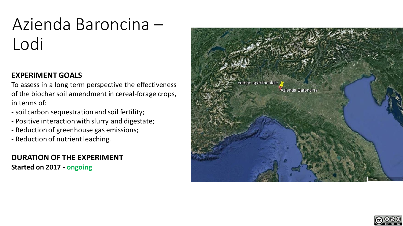# Azienda Baroncina – Lodi

# **EXPERIMENT GOALS**

To assess in a long term perspective the effectiveness of the biochar soil amendment in cereal-forage crops, in terms of:

- soil carbon sequestration and soil fertility;
- Positive interaction with slurry and digestate;
- Reduction of greenhouse gas emissions;
- Reduction of nutrient leaching*.*

## **DURATION OF THE EXPERIMENT Started on 2017 - ongoing**



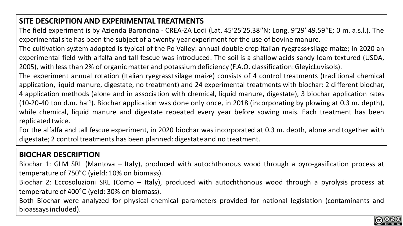## **SITE DESCRIPTION AND EXPERIMENTAL TREATMENTS**

The field experiment is by Azienda Baroncina - CREA-ZA Lodi (Lat. 45◦25′25.38′′N; Long. 9 ◦29′ 49.59′′E; 0 m. a.s.l.). The experimental site has been the subject of a twenty-year experiment for the use of bovine manure.

The cultivation system adopted is typical of the Po Valley: annual double crop Italian ryegrass+silage maize; in 2020 an experimental field with alfalfa and tall fescue was introduced. The soil is a shallow acids sandy-loam textured (USDA, 2005), with less than 2% of organic matter and potassium deficiency (F.A.O. classification:GleyicLuvisols).

The experiment annual rotation (Italian ryegrass+silage maize) consists of 4 control treatments (traditional chemical application, liquid manure, digestate, no treatment) and 24 experimental treatments with biochar: 2 different biochar, 4 application methods (alone and in association with chemical, liquid manure, digestate), 3 biochar application rates (10-20-40 ton d.m. ha<sup>-1</sup>). Biochar application was done only once, in 2018 (incorporating by plowing at 0.3 m. depth), while chemical, liquid manure and digestate repeated every year before sowing mais. Each treatment has been replicated twice.

For the alfalfa and tall fescue experiment, in 2020 biochar was incorporated at 0.3 m. depth, alone and together with digestate; 2 control treatments has been planned: digestate and no treatment.

## **BIOCHAR DESCRIPTION**

Biochar 1: GLM SRL (Mantova – Italy), produced with autochthonous wood through a pyro-gasification process at temperature of 750°C (yield: 10% on biomass).

Biochar 2: Eccosoluzioni SRL (Como – Italy), produced with autochthonous wood through a pyrolysis process at temperature of 400°C (yeld: 30% on biomass).

Both Biochar were analyzed for physical-chemical parameters provided for national legislation (contaminants and bioassaysincluded).

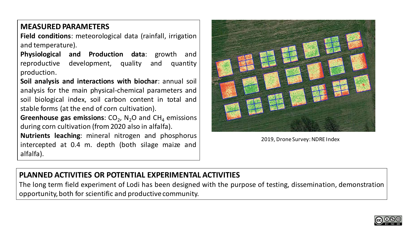#### **MEASURED PARAMETERS**

**Field conditions**: meteorological data (rainfall, irrigation and temperature).

**Physiological and Production data**: growth and reproductive development, quality and quantity production.

**Soil analysis and interactions with biochar**: annual soil analysis for the main physical-chemical parameters and soil biological index, soil carbon content in total and stable forms (at the end of corn cultivation).

**Greenhouse gas emissions**: CO<sub>2</sub>, N<sub>2</sub>O and CH<sub>4</sub> emissions during corn cultivation (from 2020 also in alfalfa).

**Nutrients leaching**: mineral nitrogen and phosphorus intercepted at 0.4 m. depth (both silage maize and alfalfa).



2019, Drone Survey: NDRE Index

#### **PLANNED ACTIVITIES OR POTENTIAL EXPERIMENTAL ACTIVITIES**

The long term field experiment of Lodi has been designed with the purpose of testing, dissemination, demonstration opportunity, both for scientific and productive community.